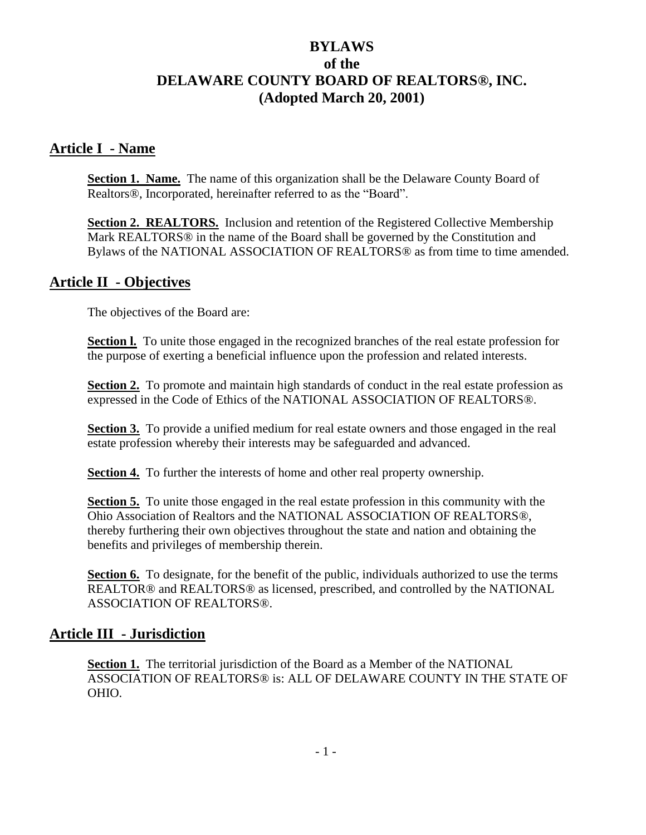# **BYLAWS of the DELAWARE COUNTY BOARD OF REALTORS®, INC. (Adopted March 20, 2001)**

### **Article I - Name**

**Section 1. Name.** The name of this organization shall be the Delaware County Board of Realtors®, Incorporated, hereinafter referred to as the "Board".

**Section 2. REALTORS.** Inclusion and retention of the Registered Collective Membership Mark REALTORS® in the name of the Board shall be governed by the Constitution and Bylaws of the NATIONAL ASSOCIATION OF REALTORS® as from time to time amended.

### **Article II - Objectives**

The objectives of the Board are:

**Section I.** To unite those engaged in the recognized branches of the real estate profession for the purpose of exerting a beneficial influence upon the profession and related interests.

**Section 2.** To promote and maintain high standards of conduct in the real estate profession as expressed in the Code of Ethics of the NATIONAL ASSOCIATION OF REALTORS®.

**Section 3.** To provide a unified medium for real estate owners and those engaged in the real estate profession whereby their interests may be safeguarded and advanced.

**Section 4.** To further the interests of home and other real property ownership.

**Section 5.** To unite those engaged in the real estate profession in this community with the Ohio Association of Realtors and the NATIONAL ASSOCIATION OF REALTORS®, thereby furthering their own objectives throughout the state and nation and obtaining the benefits and privileges of membership therein.

**Section 6.** To designate, for the benefit of the public, individuals authorized to use the terms REALTOR® and REALTORS® as licensed, prescribed, and controlled by the NATIONAL ASSOCIATION OF REALTORS®.

### **Article III - Jurisdiction**

**Section 1.** The territorial jurisdiction of the Board as a Member of the NATIONAL ASSOCIATION OF REALTORS® is: ALL OF DELAWARE COUNTY IN THE STATE OF OHIO.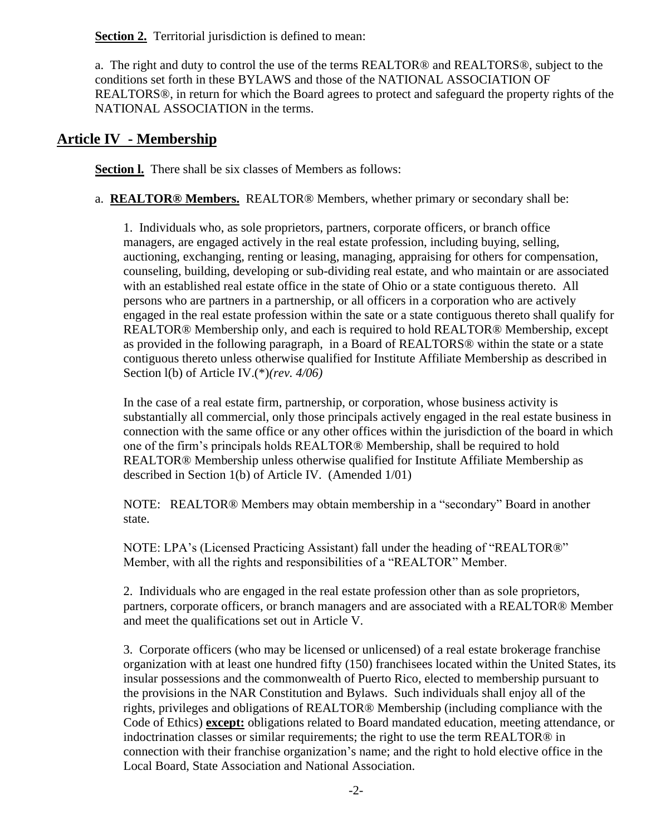**Section 2.** Territorial jurisdiction is defined to mean:

a. The right and duty to control the use of the terms REALTOR® and REALTORS®, subject to the conditions set forth in these BYLAWS and those of the NATIONAL ASSOCIATION OF REALTORS®, in return for which the Board agrees to protect and safeguard the property rights of the NATIONAL ASSOCIATION in the terms.

### **Article IV - Membership**

**Section l.** There shall be six classes of Members as follows:

a. **REALTOR® Members.** REALTOR® Members, whether primary or secondary shall be:

1. Individuals who, as sole proprietors, partners, corporate officers, or branch office managers, are engaged actively in the real estate profession, including buying, selling, auctioning, exchanging, renting or leasing, managing, appraising for others for compensation, counseling, building, developing or sub-dividing real estate, and who maintain or are associated with an established real estate office in the state of Ohio or a state contiguous thereto. All persons who are partners in a partnership, or all officers in a corporation who are actively engaged in the real estate profession within the sate or a state contiguous thereto shall qualify for REALTOR® Membership only, and each is required to hold REALTOR® Membership, except as provided in the following paragraph, in a Board of REALTORS® within the state or a state contiguous thereto unless otherwise qualified for Institute Affiliate Membership as described in Section l(b) of Article IV.(\*)*(rev. 4/06)*

In the case of a real estate firm, partnership, or corporation, whose business activity is substantially all commercial, only those principals actively engaged in the real estate business in connection with the same office or any other offices within the jurisdiction of the board in which one of the firm's principals holds REALTOR® Membership, shall be required to hold REALTOR® Membership unless otherwise qualified for Institute Affiliate Membership as described in Section 1(b) of Article IV. (Amended 1/01)

NOTE: REALTOR® Members may obtain membership in a "secondary" Board in another state.

NOTE: LPA's (Licensed Practicing Assistant) fall under the heading of "REALTOR®" Member, with all the rights and responsibilities of a "REALTOR" Member.

2. Individuals who are engaged in the real estate profession other than as sole proprietors, partners, corporate officers, or branch managers and are associated with a REALTOR® Member and meet the qualifications set out in Article V.

3. Corporate officers (who may be licensed or unlicensed) of a real estate brokerage franchise organization with at least one hundred fifty (150) franchisees located within the United States, its insular possessions and the commonwealth of Puerto Rico, elected to membership pursuant to the provisions in the NAR Constitution and Bylaws. Such individuals shall enjoy all of the rights, privileges and obligations of REALTOR® Membership (including compliance with the Code of Ethics) **except:** obligations related to Board mandated education, meeting attendance, or indoctrination classes or similar requirements; the right to use the term REALTOR® in connection with their franchise organization's name; and the right to hold elective office in the Local Board, State Association and National Association.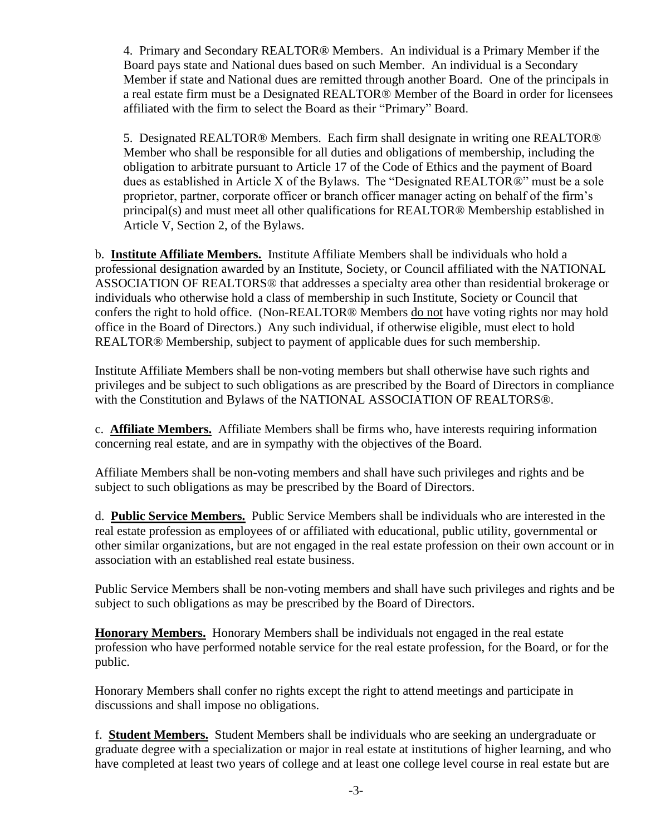4. Primary and Secondary REALTOR® Members. An individual is a Primary Member if the Board pays state and National dues based on such Member. An individual is a Secondary Member if state and National dues are remitted through another Board. One of the principals in a real estate firm must be a Designated REALTOR® Member of the Board in order for licensees affiliated with the firm to select the Board as their "Primary" Board.

5. Designated REALTOR® Members. Each firm shall designate in writing one REALTOR® Member who shall be responsible for all duties and obligations of membership, including the obligation to arbitrate pursuant to Article 17 of the Code of Ethics and the payment of Board dues as established in Article X of the Bylaws. The "Designated REALTOR®" must be a sole proprietor, partner, corporate officer or branch officer manager acting on behalf of the firm's principal(s) and must meet all other qualifications for REALTOR® Membership established in Article V, Section 2, of the Bylaws.

b. **Institute Affiliate Members.** Institute Affiliate Members shall be individuals who hold a professional designation awarded by an Institute, Society, or Council affiliated with the NATIONAL ASSOCIATION OF REALTORS® that addresses a specialty area other than residential brokerage or individuals who otherwise hold a class of membership in such Institute, Society or Council that confers the right to hold office. (Non-REALTOR® Members do not have voting rights nor may hold office in the Board of Directors.) Any such individual, if otherwise eligible, must elect to hold REALTOR® Membership, subject to payment of applicable dues for such membership.

Institute Affiliate Members shall be non-voting members but shall otherwise have such rights and privileges and be subject to such obligations as are prescribed by the Board of Directors in compliance with the Constitution and Bylaws of the NATIONAL ASSOCIATION OF REALTORS®.

c. **Affiliate Members.** Affiliate Members shall be firms who, have interests requiring information concerning real estate, and are in sympathy with the objectives of the Board.

Affiliate Members shall be non-voting members and shall have such privileges and rights and be subject to such obligations as may be prescribed by the Board of Directors.

d. **Public Service Members.** Public Service Members shall be individuals who are interested in the real estate profession as employees of or affiliated with educational, public utility, governmental or other similar organizations, but are not engaged in the real estate profession on their own account or in association with an established real estate business.

Public Service Members shall be non-voting members and shall have such privileges and rights and be subject to such obligations as may be prescribed by the Board of Directors.

**Honorary Members.** Honorary Members shall be individuals not engaged in the real estate profession who have performed notable service for the real estate profession, for the Board, or for the public.

Honorary Members shall confer no rights except the right to attend meetings and participate in discussions and shall impose no obligations.

f. **Student Members.** Student Members shall be individuals who are seeking an undergraduate or graduate degree with a specialization or major in real estate at institutions of higher learning, and who have completed at least two years of college and at least one college level course in real estate but are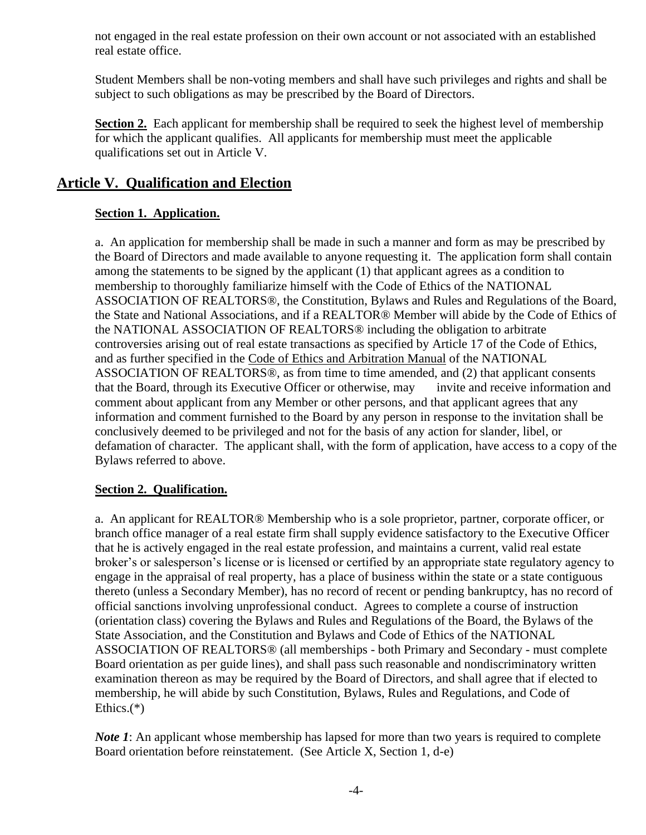not engaged in the real estate profession on their own account or not associated with an established real estate office.

Student Members shall be non-voting members and shall have such privileges and rights and shall be subject to such obligations as may be prescribed by the Board of Directors.

**Section 2.** Each applicant for membership shall be required to seek the highest level of membership for which the applicant qualifies. All applicants for membership must meet the applicable qualifications set out in Article V.

# **Article V. Qualification and Election**

### **Section 1. Application.**

a. An application for membership shall be made in such a manner and form as may be prescribed by the Board of Directors and made available to anyone requesting it. The application form shall contain among the statements to be signed by the applicant (1) that applicant agrees as a condition to membership to thoroughly familiarize himself with the Code of Ethics of the NATIONAL ASSOCIATION OF REALTORS®, the Constitution, Bylaws and Rules and Regulations of the Board, the State and National Associations, and if a REALTOR® Member will abide by the Code of Ethics of the NATIONAL ASSOCIATION OF REALTORS® including the obligation to arbitrate controversies arising out of real estate transactions as specified by Article 17 of the Code of Ethics, and as further specified in the Code of Ethics and Arbitration Manual of the NATIONAL ASSOCIATION OF REALTORS®, as from time to time amended, and (2) that applicant consents that the Board, through its Executive Officer or otherwise, may invite and receive information and comment about applicant from any Member or other persons, and that applicant agrees that any information and comment furnished to the Board by any person in response to the invitation shall be conclusively deemed to be privileged and not for the basis of any action for slander, libel, or defamation of character. The applicant shall, with the form of application, have access to a copy of the Bylaws referred to above.

### **Section 2. Qualification.**

a. An applicant for REALTOR® Membership who is a sole proprietor, partner, corporate officer, or branch office manager of a real estate firm shall supply evidence satisfactory to the Executive Officer that he is actively engaged in the real estate profession, and maintains a current, valid real estate broker's or salesperson's license or is licensed or certified by an appropriate state regulatory agency to engage in the appraisal of real property, has a place of business within the state or a state contiguous thereto (unless a Secondary Member), has no record of recent or pending bankruptcy, has no record of official sanctions involving unprofessional conduct. Agrees to complete a course of instruction (orientation class) covering the Bylaws and Rules and Regulations of the Board, the Bylaws of the State Association, and the Constitution and Bylaws and Code of Ethics of the NATIONAL ASSOCIATION OF REALTORS® (all memberships - both Primary and Secondary - must complete Board orientation as per guide lines), and shall pass such reasonable and nondiscriminatory written examination thereon as may be required by the Board of Directors, and shall agree that if elected to membership, he will abide by such Constitution, Bylaws, Rules and Regulations, and Code of Ethics.(\*)

*Note 1*: An applicant whose membership has lapsed for more than two years is required to complete Board orientation before reinstatement. (See Article X, Section 1, d-e)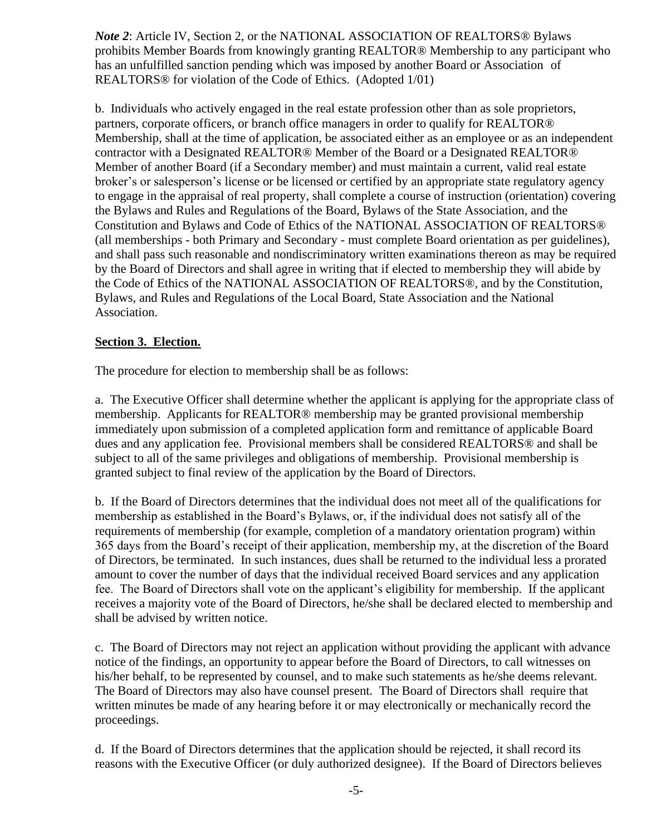*Note 2*: Article IV, Section 2, or the NATIONAL ASSOCIATION OF REALTORS® Bylaws prohibits Member Boards from knowingly granting REALTOR® Membership to any participant who has an unfulfilled sanction pending which was imposed by another Board or Association of REALTORS® for violation of the Code of Ethics. (Adopted 1/01)

b. Individuals who actively engaged in the real estate profession other than as sole proprietors, partners, corporate officers, or branch office managers in order to qualify for REALTOR® Membership, shall at the time of application, be associated either as an employee or as an independent contractor with a Designated REALTOR® Member of the Board or a Designated REALTOR® Member of another Board (if a Secondary member) and must maintain a current, valid real estate broker's or salesperson's license or be licensed or certified by an appropriate state regulatory agency to engage in the appraisal of real property, shall complete a course of instruction (orientation) covering the Bylaws and Rules and Regulations of the Board, Bylaws of the State Association, and the Constitution and Bylaws and Code of Ethics of the NATIONAL ASSOCIATION OF REALTORS® (all memberships - both Primary and Secondary - must complete Board orientation as per guidelines), and shall pass such reasonable and nondiscriminatory written examinations thereon as may be required by the Board of Directors and shall agree in writing that if elected to membership they will abide by the Code of Ethics of the NATIONAL ASSOCIATION OF REALTORS®, and by the Constitution, Bylaws, and Rules and Regulations of the Local Board, State Association and the National Association.

#### **Section 3. Election.**

The procedure for election to membership shall be as follows:

a. The Executive Officer shall determine whether the applicant is applying for the appropriate class of membership. Applicants for REALTOR® membership may be granted provisional membership immediately upon submission of a completed application form and remittance of applicable Board dues and any application fee. Provisional members shall be considered REALTORS® and shall be subject to all of the same privileges and obligations of membership. Provisional membership is granted subject to final review of the application by the Board of Directors.

b. If the Board of Directors determines that the individual does not meet all of the qualifications for membership as established in the Board's Bylaws, or, if the individual does not satisfy all of the requirements of membership (for example, completion of a mandatory orientation program) within 365 days from the Board's receipt of their application, membership my, at the discretion of the Board of Directors, be terminated. In such instances, dues shall be returned to the individual less a prorated amount to cover the number of days that the individual received Board services and any application fee. The Board of Directors shall vote on the applicant's eligibility for membership. If the applicant receives a majority vote of the Board of Directors, he/she shall be declared elected to membership and shall be advised by written notice.

c. The Board of Directors may not reject an application without providing the applicant with advance notice of the findings, an opportunity to appear before the Board of Directors, to call witnesses on his/her behalf, to be represented by counsel, and to make such statements as he/she deems relevant. The Board of Directors may also have counsel present. The Board of Directors shall require that written minutes be made of any hearing before it or may electronically or mechanically record the proceedings.

d. If the Board of Directors determines that the application should be rejected, it shall record its reasons with the Executive Officer (or duly authorized designee). If the Board of Directors believes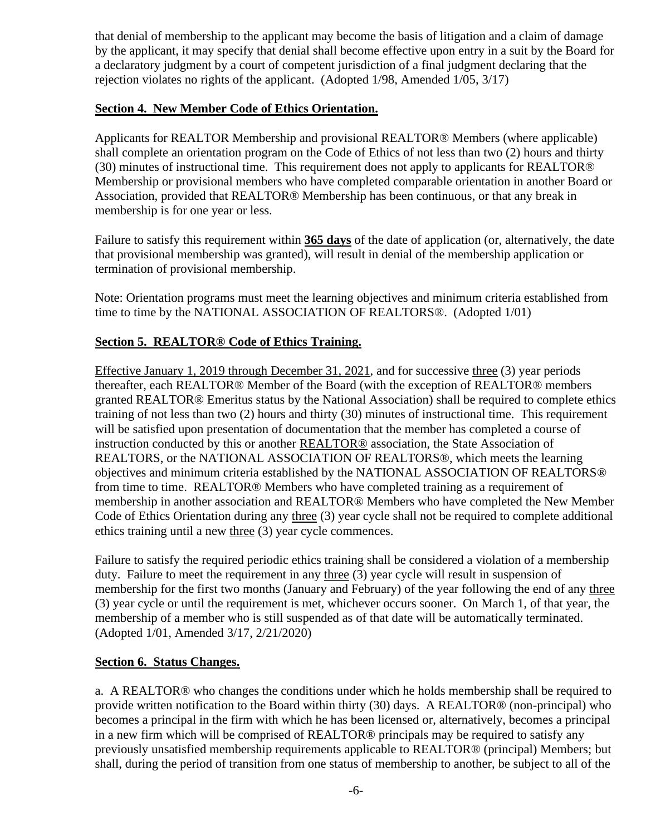that denial of membership to the applicant may become the basis of litigation and a claim of damage by the applicant, it may specify that denial shall become effective upon entry in a suit by the Board for a declaratory judgment by a court of competent jurisdiction of a final judgment declaring that the rejection violates no rights of the applicant. (Adopted 1/98, Amended 1/05, 3/17)

#### **Section 4. New Member Code of Ethics Orientation.**

Applicants for REALTOR Membership and provisional REALTOR® Members (where applicable) shall complete an orientation program on the Code of Ethics of not less than two (2) hours and thirty (30) minutes of instructional time. This requirement does not apply to applicants for REALTOR® Membership or provisional members who have completed comparable orientation in another Board or Association, provided that REALTOR® Membership has been continuous, or that any break in membership is for one year or less.

Failure to satisfy this requirement within **365 days** of the date of application (or, alternatively, the date that provisional membership was granted), will result in denial of the membership application or termination of provisional membership.

Note: Orientation programs must meet the learning objectives and minimum criteria established from time to time by the NATIONAL ASSOCIATION OF REALTORS®. (Adopted 1/01)

#### **Section 5. REALTOR® Code of Ethics Training.**

Effective January 1, 2019 through December 31, 2021, and for successive three (3) year periods thereafter, each REALTOR® Member of the Board (with the exception of REALTOR® members granted REALTOR® Emeritus status by the National Association) shall be required to complete ethics training of not less than two (2) hours and thirty (30) minutes of instructional time. This requirement will be satisfied upon presentation of documentation that the member has completed a course of instruction conducted by this or another REALTOR® association, the State Association of REALTORS, or the NATIONAL ASSOCIATION OF REALTORS®, which meets the learning objectives and minimum criteria established by the NATIONAL ASSOCIATION OF REALTORS® from time to time. REALTOR® Members who have completed training as a requirement of membership in another association and REALTOR® Members who have completed the New Member Code of Ethics Orientation during any three (3) year cycle shall not be required to complete additional ethics training until a new three (3) year cycle commences.

Failure to satisfy the required periodic ethics training shall be considered a violation of a membership duty. Failure to meet the requirement in any three (3) year cycle will result in suspension of membership for the first two months (January and February) of the year following the end of any three (3) year cycle or until the requirement is met, whichever occurs sooner. On March 1, of that year, the membership of a member who is still suspended as of that date will be automatically terminated. (Adopted 1/01, Amended 3/17, 2/21/2020)

#### **Section 6. Status Changes.**

a. A REALTOR® who changes the conditions under which he holds membership shall be required to provide written notification to the Board within thirty (30) days. A REALTOR® (non-principal) who becomes a principal in the firm with which he has been licensed or, alternatively, becomes a principal in a new firm which will be comprised of REALTOR® principals may be required to satisfy any previously unsatisfied membership requirements applicable to REALTOR® (principal) Members; but shall, during the period of transition from one status of membership to another, be subject to all of the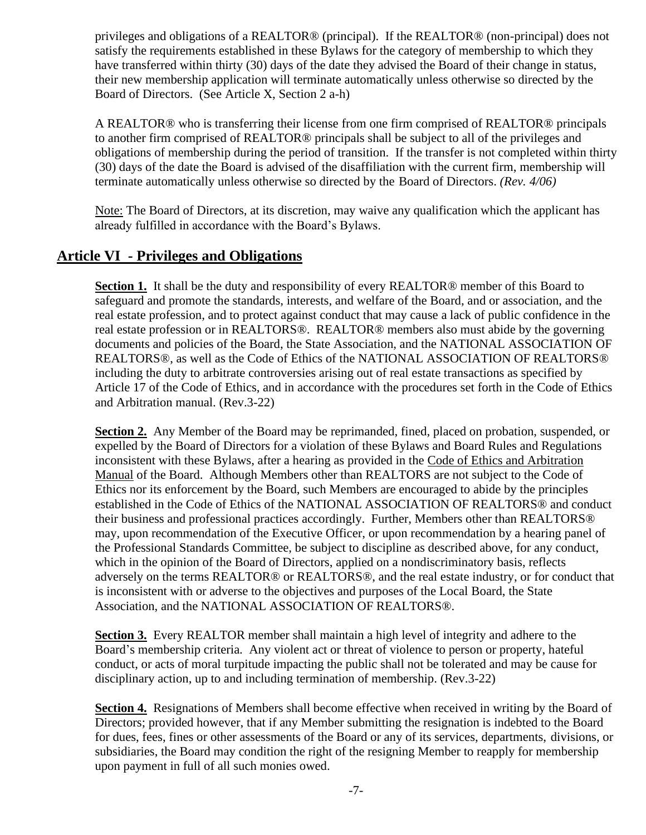privileges and obligations of a REALTOR® (principal). If the REALTOR® (non-principal) does not satisfy the requirements established in these Bylaws for the category of membership to which they have transferred within thirty (30) days of the date they advised the Board of their change in status, their new membership application will terminate automatically unless otherwise so directed by the Board of Directors. (See Article X, Section 2 a-h)

A REALTOR® who is transferring their license from one firm comprised of REALTOR® principals to another firm comprised of REALTOR® principals shall be subject to all of the privileges and obligations of membership during the period of transition. If the transfer is not completed within thirty (30) days of the date the Board is advised of the disaffiliation with the current firm, membership will terminate automatically unless otherwise so directed by the Board of Directors. *(Rev. 4/06)*

Note: The Board of Directors, at its discretion, may waive any qualification which the applicant has already fulfilled in accordance with the Board's Bylaws.

# **Article VI - Privileges and Obligations**

**Section 1.** It shall be the duty and responsibility of every REALTOR® member of this Board to safeguard and promote the standards, interests, and welfare of the Board, and or association, and the real estate profession, and to protect against conduct that may cause a lack of public confidence in the real estate profession or in REALTORS®. REALTOR® members also must abide by the governing documents and policies of the Board, the State Association, and the NATIONAL ASSOCIATION OF REALTORS®, as well as the Code of Ethics of the NATIONAL ASSOCIATION OF REALTORS® including the duty to arbitrate controversies arising out of real estate transactions as specified by Article 17 of the Code of Ethics, and in accordance with the procedures set forth in the Code of Ethics and Arbitration manual. (Rev.3-22)

**Section 2.** Any Member of the Board may be reprimanded, fined, placed on probation, suspended, or expelled by the Board of Directors for a violation of these Bylaws and Board Rules and Regulations inconsistent with these Bylaws, after a hearing as provided in the Code of Ethics and Arbitration Manual of the Board. Although Members other than REALTORS are not subject to the Code of Ethics nor its enforcement by the Board, such Members are encouraged to abide by the principles established in the Code of Ethics of the NATIONAL ASSOCIATION OF REALTORS® and conduct their business and professional practices accordingly. Further, Members other than REALTORS® may, upon recommendation of the Executive Officer, or upon recommendation by a hearing panel of the Professional Standards Committee, be subject to discipline as described above, for any conduct, which in the opinion of the Board of Directors, applied on a nondiscriminatory basis, reflects adversely on the terms REALTOR® or REALTORS®, and the real estate industry, or for conduct that is inconsistent with or adverse to the objectives and purposes of the Local Board, the State Association, and the NATIONAL ASSOCIATION OF REALTORS®.

**Section 3.** Every REALTOR member shall maintain a high level of integrity and adhere to the Board's membership criteria. Any violent act or threat of violence to person or property, hateful conduct, or acts of moral turpitude impacting the public shall not be tolerated and may be cause for disciplinary action, up to and including termination of membership. (Rev.3-22)

**Section 4.** Resignations of Members shall become effective when received in writing by the Board of Directors; provided however, that if any Member submitting the resignation is indebted to the Board for dues, fees, fines or other assessments of the Board or any of its services, departments, divisions, or subsidiaries, the Board may condition the right of the resigning Member to reapply for membership upon payment in full of all such monies owed.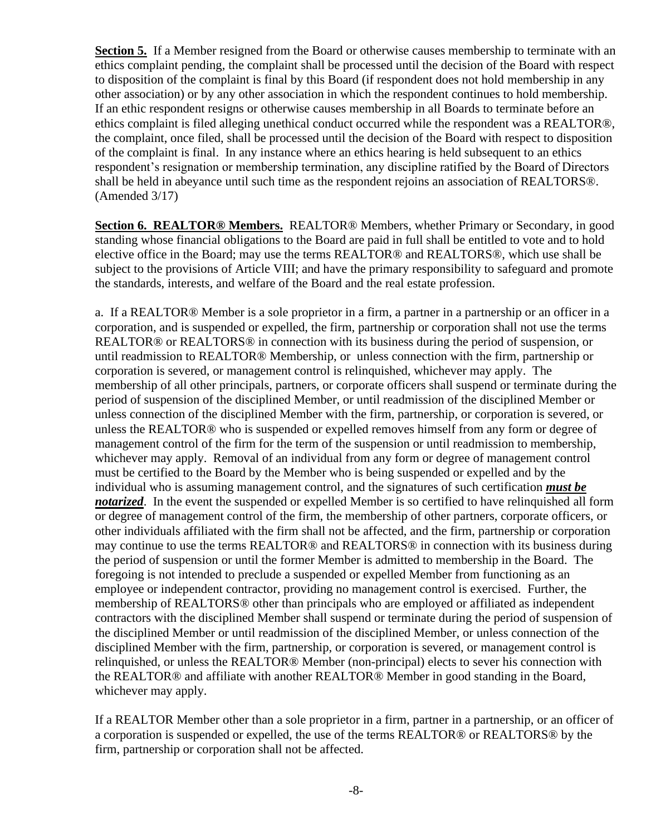**Section 5.** If a Member resigned from the Board or otherwise causes membership to terminate with an ethics complaint pending, the complaint shall be processed until the decision of the Board with respect to disposition of the complaint is final by this Board (if respondent does not hold membership in any other association) or by any other association in which the respondent continues to hold membership. If an ethic respondent resigns or otherwise causes membership in all Boards to terminate before an ethics complaint is filed alleging unethical conduct occurred while the respondent was a REALTOR®, the complaint, once filed, shall be processed until the decision of the Board with respect to disposition of the complaint is final. In any instance where an ethics hearing is held subsequent to an ethics respondent's resignation or membership termination, any discipline ratified by the Board of Directors shall be held in abeyance until such time as the respondent rejoins an association of REALTORS®. (Amended 3/17)

**Section 6. REALTOR® Members.** REALTOR® Members, whether Primary or Secondary, in good standing whose financial obligations to the Board are paid in full shall be entitled to vote and to hold elective office in the Board; may use the terms REALTOR® and REALTORS®, which use shall be subject to the provisions of Article VIII; and have the primary responsibility to safeguard and promote the standards, interests, and welfare of the Board and the real estate profession.

a. If a REALTOR® Member is a sole proprietor in a firm, a partner in a partnership or an officer in a corporation, and is suspended or expelled, the firm, partnership or corporation shall not use the terms REALTOR® or REALTORS® in connection with its business during the period of suspension, or until readmission to REALTOR® Membership, or unless connection with the firm, partnership or corporation is severed, or management control is relinquished, whichever may apply. The membership of all other principals, partners, or corporate officers shall suspend or terminate during the period of suspension of the disciplined Member, or until readmission of the disciplined Member or unless connection of the disciplined Member with the firm, partnership, or corporation is severed, or unless the REALTOR® who is suspended or expelled removes himself from any form or degree of management control of the firm for the term of the suspension or until readmission to membership, whichever may apply. Removal of an individual from any form or degree of management control must be certified to the Board by the Member who is being suspended or expelled and by the individual who is assuming management control, and the signatures of such certification *must be notarized*. In the event the suspended or expelled Member is so certified to have relinquished all form or degree of management control of the firm, the membership of other partners, corporate officers, or other individuals affiliated with the firm shall not be affected, and the firm, partnership or corporation may continue to use the terms REALTOR® and REALTORS® in connection with its business during the period of suspension or until the former Member is admitted to membership in the Board. The foregoing is not intended to preclude a suspended or expelled Member from functioning as an employee or independent contractor, providing no management control is exercised. Further, the membership of REALTORS® other than principals who are employed or affiliated as independent contractors with the disciplined Member shall suspend or terminate during the period of suspension of the disciplined Member or until readmission of the disciplined Member, or unless connection of the disciplined Member with the firm, partnership, or corporation is severed, or management control is relinquished, or unless the REALTOR® Member (non-principal) elects to sever his connection with the REALTOR® and affiliate with another REALTOR® Member in good standing in the Board, whichever may apply.

If a REALTOR Member other than a sole proprietor in a firm, partner in a partnership, or an officer of a corporation is suspended or expelled, the use of the terms REALTOR® or REALTORS® by the firm, partnership or corporation shall not be affected.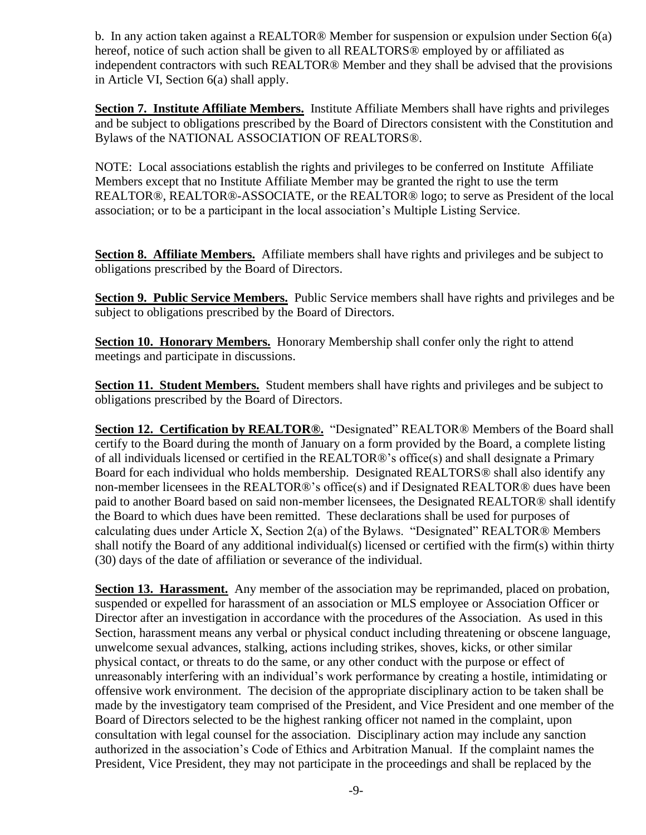b. In any action taken against a REALTOR® Member for suspension or expulsion under Section 6(a) hereof, notice of such action shall be given to all REALTORS<sup>®</sup> employed by or affiliated as independent contractors with such REALTOR® Member and they shall be advised that the provisions in Article VI, Section 6(a) shall apply.

**Section 7. Institute Affiliate Members.** Institute Affiliate Members shall have rights and privileges and be subject to obligations prescribed by the Board of Directors consistent with the Constitution and Bylaws of the NATIONAL ASSOCIATION OF REALTORS®.

NOTE: Local associations establish the rights and privileges to be conferred on Institute Affiliate Members except that no Institute Affiliate Member may be granted the right to use the term REALTOR®, REALTOR®-ASSOCIATE, or the REALTOR® logo; to serve as President of the local association; or to be a participant in the local association's Multiple Listing Service.

**Section 8. Affiliate Members.** Affiliate members shall have rights and privileges and be subject to obligations prescribed by the Board of Directors.

**Section 9. Public Service Members.** Public Service members shall have rights and privileges and be subject to obligations prescribed by the Board of Directors.

**Section 10. Honorary Members.** Honorary Membership shall confer only the right to attend meetings and participate in discussions.

**Section 11. Student Members.** Student members shall have rights and privileges and be subject to obligations prescribed by the Board of Directors.

**Section 12. Certification by REALTOR®.** "Designated" REALTOR® Members of the Board shall certify to the Board during the month of January on a form provided by the Board, a complete listing of all individuals licensed or certified in the REALTOR®'s office(s) and shall designate a Primary Board for each individual who holds membership. Designated REALTORS® shall also identify any non-member licensees in the REALTOR®'s office(s) and if Designated REALTOR® dues have been paid to another Board based on said non-member licensees, the Designated REALTOR® shall identify the Board to which dues have been remitted. These declarations shall be used for purposes of calculating dues under Article X, Section 2(a) of the Bylaws. "Designated" REALTOR® Members shall notify the Board of any additional individual(s) licensed or certified with the firm(s) within thirty (30) days of the date of affiliation or severance of the individual.

**Section 13. Harassment.** Any member of the association may be reprimanded, placed on probation, suspended or expelled for harassment of an association or MLS employee or Association Officer or Director after an investigation in accordance with the procedures of the Association. As used in this Section, harassment means any verbal or physical conduct including threatening or obscene language, unwelcome sexual advances, stalking, actions including strikes, shoves, kicks, or other similar physical contact, or threats to do the same, or any other conduct with the purpose or effect of unreasonably interfering with an individual's work performance by creating a hostile, intimidating or offensive work environment. The decision of the appropriate disciplinary action to be taken shall be made by the investigatory team comprised of the President, and Vice President and one member of the Board of Directors selected to be the highest ranking officer not named in the complaint, upon consultation with legal counsel for the association. Disciplinary action may include any sanction authorized in the association's Code of Ethics and Arbitration Manual. If the complaint names the President, Vice President, they may not participate in the proceedings and shall be replaced by the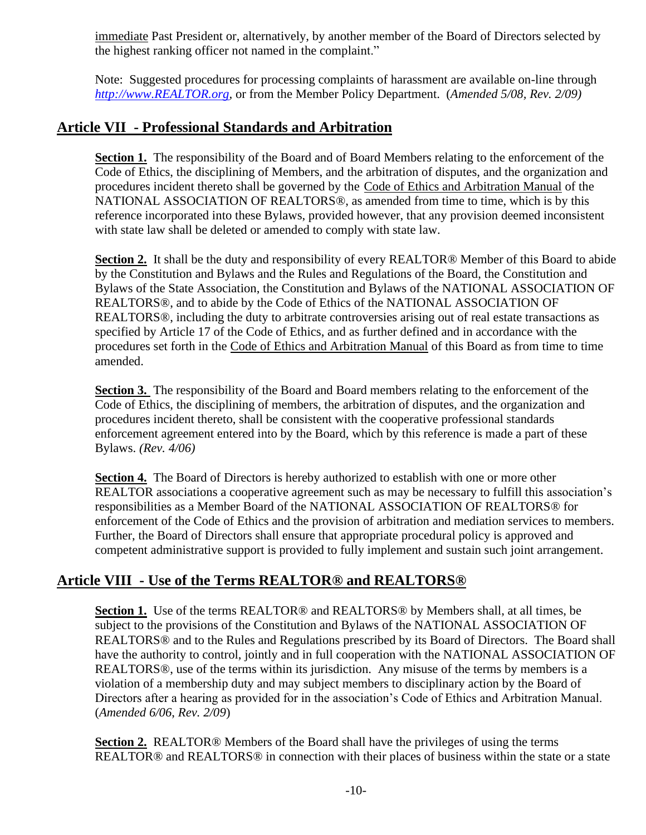immediate Past President or, alternatively, by another member of the Board of Directors selected by the highest ranking officer not named in the complaint."

Note: Suggested procedures for processing complaints of harassment are available on-line through *[http://www.REALTOR.org,](http://www.realtor.org/)* or from the Member Policy Department. (*Amended 5/08, Rev. 2/09)*

### **Article VII - Professional Standards and Arbitration**

Section 1. The responsibility of the Board and of Board Members relating to the enforcement of the Code of Ethics, the disciplining of Members, and the arbitration of disputes, and the organization and procedures incident thereto shall be governed by the Code of Ethics and Arbitration Manual of the NATIONAL ASSOCIATION OF REALTORS®, as amended from time to time, which is by this reference incorporated into these Bylaws, provided however, that any provision deemed inconsistent with state law shall be deleted or amended to comply with state law.

**Section 2.** It shall be the duty and responsibility of every REALTOR® Member of this Board to abide by the Constitution and Bylaws and the Rules and Regulations of the Board, the Constitution and Bylaws of the State Association, the Constitution and Bylaws of the NATIONAL ASSOCIATION OF REALTORS®, and to abide by the Code of Ethics of the NATIONAL ASSOCIATION OF REALTORS®, including the duty to arbitrate controversies arising out of real estate transactions as specified by Article 17 of the Code of Ethics, and as further defined and in accordance with the procedures set forth in the Code of Ethics and Arbitration Manual of this Board as from time to time amended.

**Section 3.** The responsibility of the Board and Board members relating to the enforcement of the Code of Ethics, the disciplining of members, the arbitration of disputes, and the organization and procedures incident thereto, shall be consistent with the cooperative professional standards enforcement agreement entered into by the Board, which by this reference is made a part of these Bylaws. *(Rev. 4/06)*

**Section 4.** The Board of Directors is hereby authorized to establish with one or more other REALTOR associations a cooperative agreement such as may be necessary to fulfill this association's responsibilities as a Member Board of the NATIONAL ASSOCIATION OF REALTORS® for enforcement of the Code of Ethics and the provision of arbitration and mediation services to members. Further, the Board of Directors shall ensure that appropriate procedural policy is approved and competent administrative support is provided to fully implement and sustain such joint arrangement.

# **Article VIII - Use of the Terms REALTOR® and REALTORS®**

**Section 1.** Use of the terms REALTOR® and REALTORS® by Members shall, at all times, be subject to the provisions of the Constitution and Bylaws of the NATIONAL ASSOCIATION OF REALTORS® and to the Rules and Regulations prescribed by its Board of Directors. The Board shall have the authority to control, jointly and in full cooperation with the NATIONAL ASSOCIATION OF REALTORS®, use of the terms within its jurisdiction. Any misuse of the terms by members is a violation of a membership duty and may subject members to disciplinary action by the Board of Directors after a hearing as provided for in the association's Code of Ethics and Arbitration Manual. (*Amended 6/06*, *Rev. 2/09*)

**Section 2.** REALTOR® Members of the Board shall have the privileges of using the terms REALTOR® and REALTORS® in connection with their places of business within the state or a state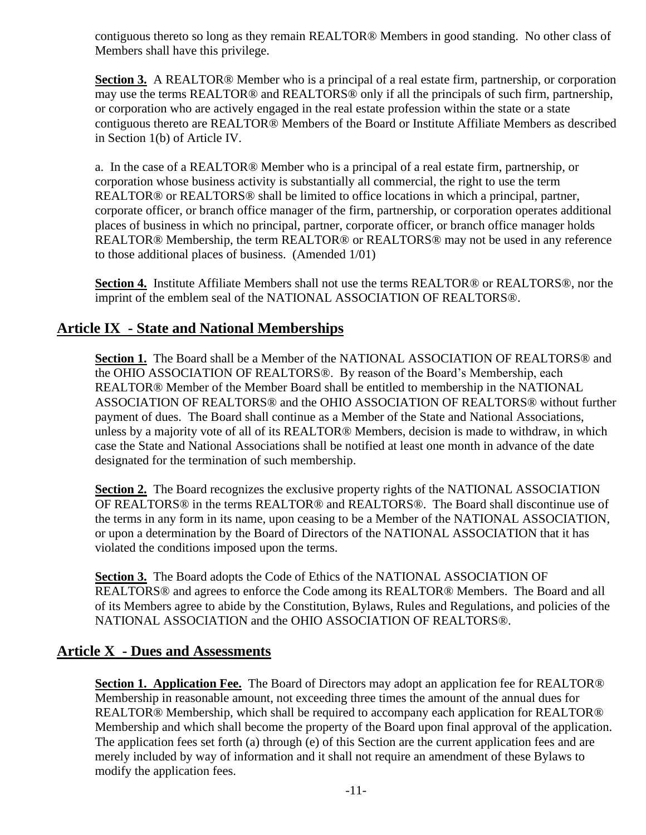contiguous thereto so long as they remain REALTOR® Members in good standing. No other class of Members shall have this privilege.

**Section 3.** A REALTOR<sup>®</sup> Member who is a principal of a real estate firm, partnership, or corporation may use the terms REALTOR® and REALTORS® only if all the principals of such firm, partnership, or corporation who are actively engaged in the real estate profession within the state or a state contiguous thereto are REALTOR® Members of the Board or Institute Affiliate Members as described in Section 1(b) of Article IV.

a. In the case of a REALTOR® Member who is a principal of a real estate firm, partnership, or corporation whose business activity is substantially all commercial, the right to use the term REALTOR® or REALTORS® shall be limited to office locations in which a principal, partner, corporate officer, or branch office manager of the firm, partnership, or corporation operates additional places of business in which no principal, partner, corporate officer, or branch office manager holds REALTOR® Membership, the term REALTOR® or REALTORS® may not be used in any reference to those additional places of business. (Amended 1/01)

**Section 4.** Institute Affiliate Members shall not use the terms REALTOR® or REALTORS®, nor the imprint of the emblem seal of the NATIONAL ASSOCIATION OF REALTORS®.

# **Article IX - State and National Memberships**

**Section 1.** The Board shall be a Member of the NATIONAL ASSOCIATION OF REALTORS® and the OHIO ASSOCIATION OF REALTORS®. By reason of the Board's Membership, each REALTOR® Member of the Member Board shall be entitled to membership in the NATIONAL ASSOCIATION OF REALTORS® and the OHIO ASSOCIATION OF REALTORS® without further payment of dues. The Board shall continue as a Member of the State and National Associations, unless by a majority vote of all of its REALTOR® Members, decision is made to withdraw, in which case the State and National Associations shall be notified at least one month in advance of the date designated for the termination of such membership.

**Section 2.** The Board recognizes the exclusive property rights of the NATIONAL ASSOCIATION OF REALTORS® in the terms REALTOR® and REALTORS®. The Board shall discontinue use of the terms in any form in its name, upon ceasing to be a Member of the NATIONAL ASSOCIATION, or upon a determination by the Board of Directors of the NATIONAL ASSOCIATION that it has violated the conditions imposed upon the terms.

**Section 3.** The Board adopts the Code of Ethics of the NATIONAL ASSOCIATION OF REALTORS® and agrees to enforce the Code among its REALTOR® Members. The Board and all of its Members agree to abide by the Constitution, Bylaws, Rules and Regulations, and policies of the NATIONAL ASSOCIATION and the OHIO ASSOCIATION OF REALTORS®.

### **Article X - Dues and Assessments**

**Section 1. Application Fee.** The Board of Directors may adopt an application fee for REALTOR<sup>®</sup> Membership in reasonable amount, not exceeding three times the amount of the annual dues for REALTOR® Membership, which shall be required to accompany each application for REALTOR® Membership and which shall become the property of the Board upon final approval of the application. The application fees set forth (a) through (e) of this Section are the current application fees and are merely included by way of information and it shall not require an amendment of these Bylaws to modify the application fees.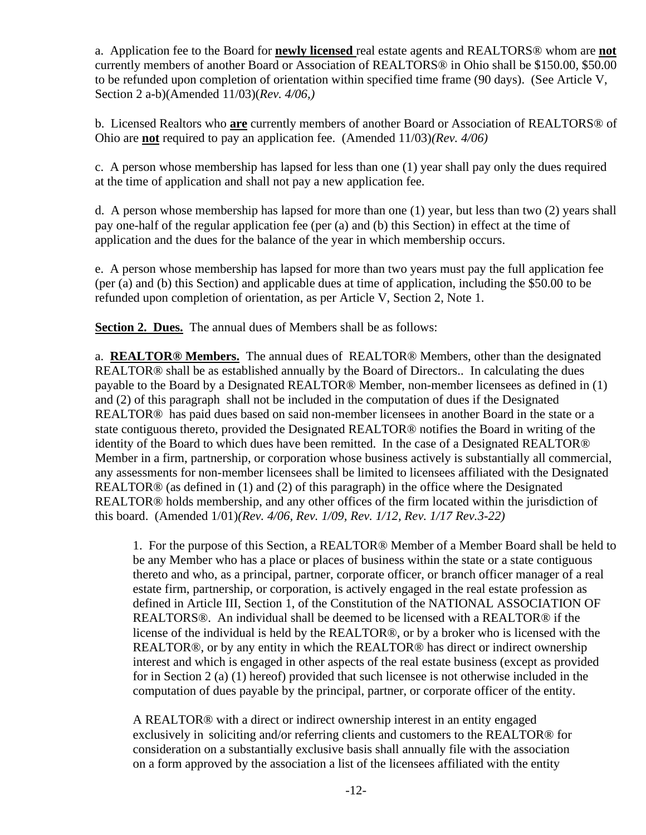a. Application fee to the Board for **newly licensed** real estate agents and REALTORS® whom are **not** currently members of another Board or Association of REALTORS® in Ohio shall be \$150.00, \$50.00 to be refunded upon completion of orientation within specified time frame (90 days). (See Article V, Section 2 a-b)(Amended 11/03)(*Rev. 4/06,)*

b. Licensed Realtors who **are** currently members of another Board or Association of REALTORS® of Ohio are **not** required to pay an application fee. (Amended 11/03)*(Rev. 4/06)*

c. A person whose membership has lapsed for less than one (1) year shall pay only the dues required at the time of application and shall not pay a new application fee.

d. A person whose membership has lapsed for more than one (1) year, but less than two (2) years shall pay one-half of the regular application fee (per (a) and (b) this Section) in effect at the time of application and the dues for the balance of the year in which membership occurs.

e. A person whose membership has lapsed for more than two years must pay the full application fee (per (a) and (b) this Section) and applicable dues at time of application, including the \$50.00 to be refunded upon completion of orientation, as per Article V, Section 2, Note 1.

**Section 2. Dues.** The annual dues of Members shall be as follows:

a. **REALTOR® Members.** The annual dues of REALTOR® Members, other than the designated REALTOR® shall be as established annually by the Board of Directors.. In calculating the dues payable to the Board by a Designated REALTOR® Member, non-member licensees as defined in (1) and (2) of this paragraph shall not be included in the computation of dues if the Designated REALTOR® has paid dues based on said non-member licensees in another Board in the state or a state contiguous thereto, provided the Designated REALTOR® notifies the Board in writing of the identity of the Board to which dues have been remitted. In the case of a Designated REALTOR® Member in a firm, partnership, or corporation whose business actively is substantially all commercial, any assessments for non-member licensees shall be limited to licensees affiliated with the Designated REALTOR® (as defined in (1) and (2) of this paragraph) in the office where the Designated REALTOR® holds membership, and any other offices of the firm located within the jurisdiction of this board. (Amended 1/01)*(Rev. 4/06, Rev. 1/09, Rev. 1/12, Rev. 1/17 Rev.3-22)*

1. For the purpose of this Section, a REALTOR® Member of a Member Board shall be held to be any Member who has a place or places of business within the state or a state contiguous thereto and who, as a principal, partner, corporate officer, or branch officer manager of a real estate firm, partnership, or corporation, is actively engaged in the real estate profession as defined in Article III, Section 1, of the Constitution of the NATIONAL ASSOCIATION OF REALTORS®. An individual shall be deemed to be licensed with a REALTOR® if the license of the individual is held by the REALTOR®, or by a broker who is licensed with the REALTOR®, or by any entity in which the REALTOR® has direct or indirect ownership interest and which is engaged in other aspects of the real estate business (except as provided for in Section 2 (a) (1) hereof) provided that such licensee is not otherwise included in the computation of dues payable by the principal, partner, or corporate officer of the entity.

A REALTOR® with a direct or indirect ownership interest in an entity engaged exclusively in soliciting and/or referring clients and customers to the REALTOR® for consideration on a substantially exclusive basis shall annually file with the association on a form approved by the association a list of the licensees affiliated with the entity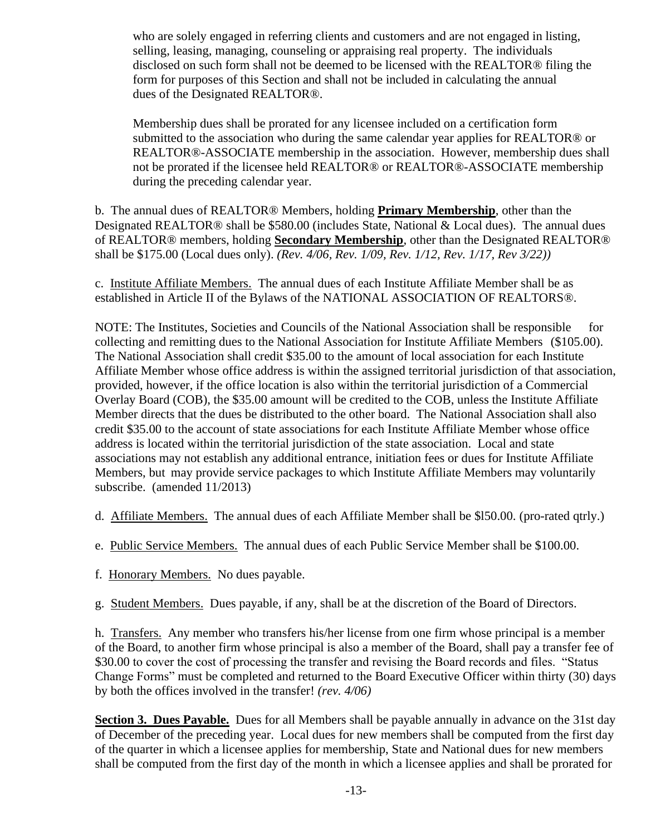who are solely engaged in referring clients and customers and are not engaged in listing, selling, leasing, managing, counseling or appraising real property. The individuals disclosed on such form shall not be deemed to be licensed with the REALTOR® filing the form for purposes of this Section and shall not be included in calculating the annual dues of the Designated REALTOR®.

Membership dues shall be prorated for any licensee included on a certification form submitted to the association who during the same calendar year applies for REALTOR® or REALTOR®-ASSOCIATE membership in the association. However, membership dues shall not be prorated if the licensee held REALTOR® or REALTOR®-ASSOCIATE membership during the preceding calendar year.

b. The annual dues of REALTOR® Members, holding **Primary Membership**, other than the Designated REALTOR® shall be \$580.00 (includes State, National & Local dues). The annual dues of REALTOR® members, holding **Secondary Membership**, other than the Designated REALTOR® shall be \$175.00 (Local dues only). *(Rev. 4/06, Rev. 1/09, Rev. 1/12, Rev. 1/17, Rev 3/22))*

c. Institute Affiliate Members. The annual dues of each Institute Affiliate Member shall be as established in Article II of the Bylaws of the NATIONAL ASSOCIATION OF REALTORS®.

NOTE: The Institutes, Societies and Councils of the National Association shall be responsible for collecting and remitting dues to the National Association for Institute Affiliate Members (\$105.00). The National Association shall credit \$35.00 to the amount of local association for each Institute Affiliate Member whose office address is within the assigned territorial jurisdiction of that association, provided, however, if the office location is also within the territorial jurisdiction of a Commercial Overlay Board (COB), the \$35.00 amount will be credited to the COB, unless the Institute Affiliate Member directs that the dues be distributed to the other board. The National Association shall also credit \$35.00 to the account of state associations for each Institute Affiliate Member whose office address is located within the territorial jurisdiction of the state association. Local and state associations may not establish any additional entrance, initiation fees or dues for Institute Affiliate Members, but may provide service packages to which Institute Affiliate Members may voluntarily subscribe. (amended 11/2013)

- d. Affiliate Members. The annual dues of each Affiliate Member shall be \$l50.00. (pro-rated qtrly.)
- e. Public Service Members. The annual dues of each Public Service Member shall be \$100.00.
- f. Honorary Members. No dues payable.
- g. Student Members. Dues payable, if any, shall be at the discretion of the Board of Directors.

h. Transfers. Any member who transfers his/her license from one firm whose principal is a member of the Board, to another firm whose principal is also a member of the Board, shall pay a transfer fee of \$30.00 to cover the cost of processing the transfer and revising the Board records and files. "Status" Change Forms" must be completed and returned to the Board Executive Officer within thirty (30) days by both the offices involved in the transfer! *(rev. 4/06)*

**Section 3. Dues Payable.** Dues for all Members shall be payable annually in advance on the 31st day of December of the preceding year. Local dues for new members shall be computed from the first day of the quarter in which a licensee applies for membership, State and National dues for new members shall be computed from the first day of the month in which a licensee applies and shall be prorated for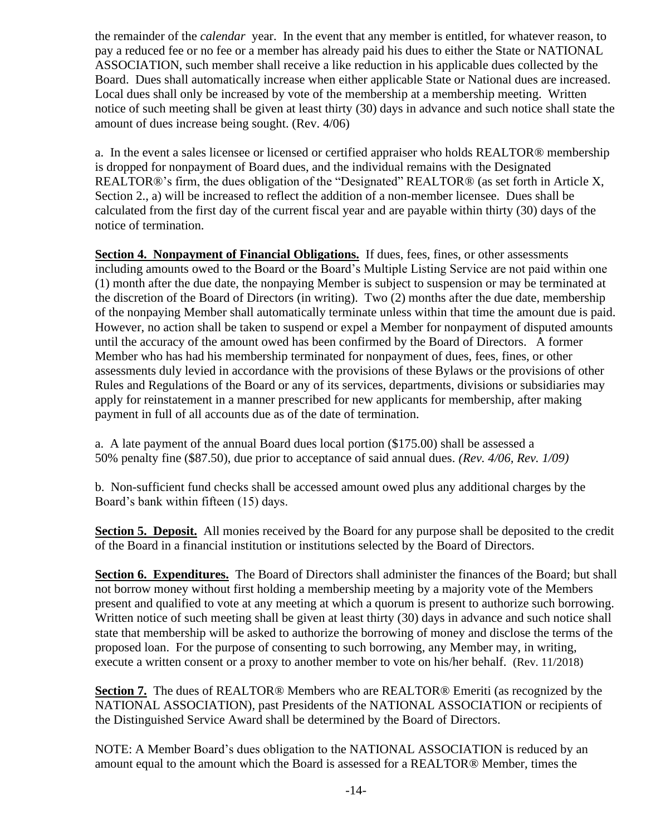the remainder of the *calendar* year. In the event that any member is entitled, for whatever reason, to pay a reduced fee or no fee or a member has already paid his dues to either the State or NATIONAL ASSOCIATION, such member shall receive a like reduction in his applicable dues collected by the Board. Dues shall automatically increase when either applicable State or National dues are increased. Local dues shall only be increased by vote of the membership at a membership meeting. Written notice of such meeting shall be given at least thirty (30) days in advance and such notice shall state the amount of dues increase being sought. (Rev. 4/06)

a. In the event a sales licensee or licensed or certified appraiser who holds REALTOR® membership is dropped for nonpayment of Board dues, and the individual remains with the Designated REALTOR®'s firm, the dues obligation of the "Designated" REALTOR® (as set forth in Article X, Section 2., a) will be increased to reflect the addition of a non-member licensee. Dues shall be calculated from the first day of the current fiscal year and are payable within thirty (30) days of the notice of termination.

**Section 4. Nonpayment of Financial Obligations.** If dues, fees, fines, or other assessments including amounts owed to the Board or the Board's Multiple Listing Service are not paid within one (1) month after the due date, the nonpaying Member is subject to suspension or may be terminated at the discretion of the Board of Directors (in writing). Two (2) months after the due date, membership of the nonpaying Member shall automatically terminate unless within that time the amount due is paid. However, no action shall be taken to suspend or expel a Member for nonpayment of disputed amounts until the accuracy of the amount owed has been confirmed by the Board of Directors. A former Member who has had his membership terminated for nonpayment of dues, fees, fines, or other assessments duly levied in accordance with the provisions of these Bylaws or the provisions of other Rules and Regulations of the Board or any of its services, departments, divisions or subsidiaries may apply for reinstatement in a manner prescribed for new applicants for membership, after making payment in full of all accounts due as of the date of termination.

a. A late payment of the annual Board dues local portion (\$175.00) shall be assessed a 50% penalty fine (\$87.50), due prior to acceptance of said annual dues. *(Rev. 4/06, Rev. 1/09)*

b. Non-sufficient fund checks shall be accessed amount owed plus any additional charges by the Board's bank within fifteen (15) days.

**Section 5. Deposit.** All monies received by the Board for any purpose shall be deposited to the credit of the Board in a financial institution or institutions selected by the Board of Directors.

**Section 6. Expenditures.** The Board of Directors shall administer the finances of the Board; but shall not borrow money without first holding a membership meeting by a majority vote of the Members present and qualified to vote at any meeting at which a quorum is present to authorize such borrowing. Written notice of such meeting shall be given at least thirty (30) days in advance and such notice shall state that membership will be asked to authorize the borrowing of money and disclose the terms of the proposed loan. For the purpose of consenting to such borrowing, any Member may, in writing, execute a written consent or a proxy to another member to vote on his/her behalf. (Rev. 11/2018)

**Section 7.** The dues of REALTOR<sup>®</sup> Members who are REALTOR<sup>®</sup> Emeriti (as recognized by the NATIONAL ASSOCIATION), past Presidents of the NATIONAL ASSOCIATION or recipients of the Distinguished Service Award shall be determined by the Board of Directors.

NOTE: A Member Board's dues obligation to the NATIONAL ASSOCIATION is reduced by an amount equal to the amount which the Board is assessed for a REALTOR® Member, times the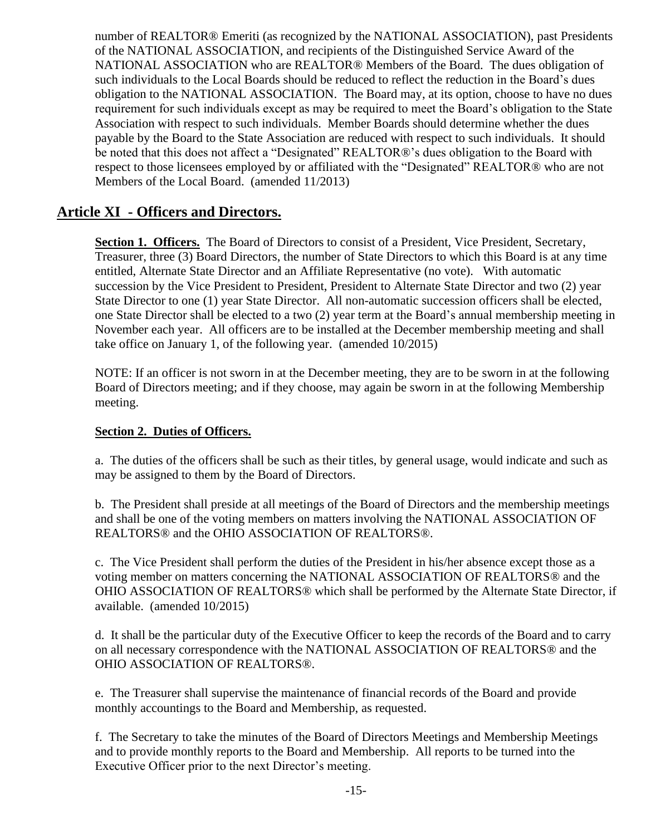number of REALTOR® Emeriti (as recognized by the NATIONAL ASSOCIATION), past Presidents of the NATIONAL ASSOCIATION, and recipients of the Distinguished Service Award of the NATIONAL ASSOCIATION who are REALTOR® Members of the Board. The dues obligation of such individuals to the Local Boards should be reduced to reflect the reduction in the Board's dues obligation to the NATIONAL ASSOCIATION. The Board may, at its option, choose to have no dues requirement for such individuals except as may be required to meet the Board's obligation to the State Association with respect to such individuals. Member Boards should determine whether the dues payable by the Board to the State Association are reduced with respect to such individuals. It should be noted that this does not affect a "Designated" REALTOR®'s dues obligation to the Board with respect to those licensees employed by or affiliated with the "Designated" REALTOR® who are not Members of the Local Board. (amended 11/2013)

# **Article XI - Officers and Directors.**

**Section 1. Officers.** The Board of Directors to consist of a President, Vice President, Secretary, Treasurer, three (3) Board Directors, the number of State Directors to which this Board is at any time entitled, Alternate State Director and an Affiliate Representative (no vote). With automatic succession by the Vice President to President, President to Alternate State Director and two (2) year State Director to one (1) year State Director. All non-automatic succession officers shall be elected, one State Director shall be elected to a two (2) year term at the Board's annual membership meeting in November each year. All officers are to be installed at the December membership meeting and shall take office on January 1, of the following year. (amended 10/2015)

NOTE: If an officer is not sworn in at the December meeting, they are to be sworn in at the following Board of Directors meeting; and if they choose, may again be sworn in at the following Membership meeting.

#### **Section 2. Duties of Officers.**

a. The duties of the officers shall be such as their titles, by general usage, would indicate and such as may be assigned to them by the Board of Directors.

b. The President shall preside at all meetings of the Board of Directors and the membership meetings and shall be one of the voting members on matters involving the NATIONAL ASSOCIATION OF REALTORS® and the OHIO ASSOCIATION OF REALTORS®.

c. The Vice President shall perform the duties of the President in his/her absence except those as a voting member on matters concerning the NATIONAL ASSOCIATION OF REALTORS® and the OHIO ASSOCIATION OF REALTORS® which shall be performed by the Alternate State Director, if available. (amended 10/2015)

d. It shall be the particular duty of the Executive Officer to keep the records of the Board and to carry on all necessary correspondence with the NATIONAL ASSOCIATION OF REALTORS® and the OHIO ASSOCIATION OF REALTORS®.

e. The Treasurer shall supervise the maintenance of financial records of the Board and provide monthly accountings to the Board and Membership, as requested.

f. The Secretary to take the minutes of the Board of Directors Meetings and Membership Meetings and to provide monthly reports to the Board and Membership. All reports to be turned into the Executive Officer prior to the next Director's meeting.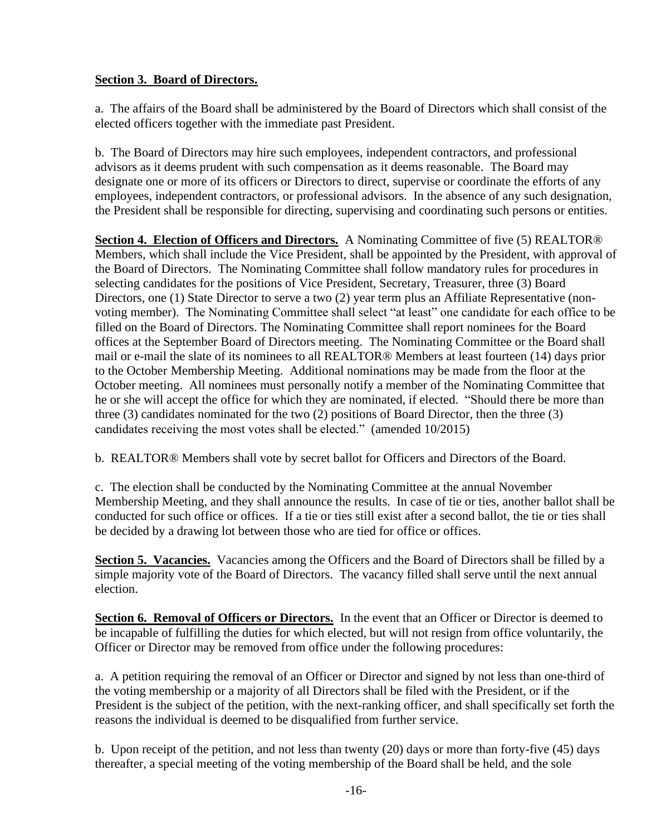#### **Section 3. Board of Directors.**

a. The affairs of the Board shall be administered by the Board of Directors which shall consist of the elected officers together with the immediate past President.

b. The Board of Directors may hire such employees, independent contractors, and professional advisors as it deems prudent with such compensation as it deems reasonable. The Board may designate one or more of its officers or Directors to direct, supervise or coordinate the efforts of any employees, independent contractors, or professional advisors. In the absence of any such designation, the President shall be responsible for directing, supervising and coordinating such persons or entities.

**Section 4. Election of Officers and Directors.** A Nominating Committee of five (5) REALTOR® Members, which shall include the Vice President, shall be appointed by the President, with approval of the Board of Directors. The Nominating Committee shall follow mandatory rules for procedures in selecting candidates for the positions of Vice President, Secretary, Treasurer, three (3) Board Directors, one (1) State Director to serve a two (2) year term plus an Affiliate Representative (nonvoting member). The Nominating Committee shall select "at least" one candidate for each office to be filled on the Board of Directors. The Nominating Committee shall report nominees for the Board offices at the September Board of Directors meeting. The Nominating Committee or the Board shall mail or e-mail the slate of its nominees to all REALTOR® Members at least fourteen (14) days prior to the October Membership Meeting. Additional nominations may be made from the floor at the October meeting. All nominees must personally notify a member of the Nominating Committee that he or she will accept the office for which they are nominated, if elected. "Should there be more than three (3) candidates nominated for the two (2) positions of Board Director, then the three (3) candidates receiving the most votes shall be elected." (amended 10/2015)

b. REALTOR® Members shall vote by secret ballot for Officers and Directors of the Board.

c. The election shall be conducted by the Nominating Committee at the annual November Membership Meeting, and they shall announce the results. In case of tie or ties, another ballot shall be conducted for such office or offices. If a tie or ties still exist after a second ballot, the tie or ties shall be decided by a drawing lot between those who are tied for office or offices.

**Section 5. Vacancies.** Vacancies among the Officers and the Board of Directors shall be filled by a simple majority vote of the Board of Directors. The vacancy filled shall serve until the next annual election.

Section 6. Removal of Officers or Directors. In the event that an Officer or Director is deemed to be incapable of fulfilling the duties for which elected, but will not resign from office voluntarily, the Officer or Director may be removed from office under the following procedures:

a. A petition requiring the removal of an Officer or Director and signed by not less than one-third of the voting membership or a majority of all Directors shall be filed with the President, or if the President is the subject of the petition, with the next-ranking officer, and shall specifically set forth the reasons the individual is deemed to be disqualified from further service.

b. Upon receipt of the petition, and not less than twenty (20) days or more than forty-five (45) days thereafter, a special meeting of the voting membership of the Board shall be held, and the sole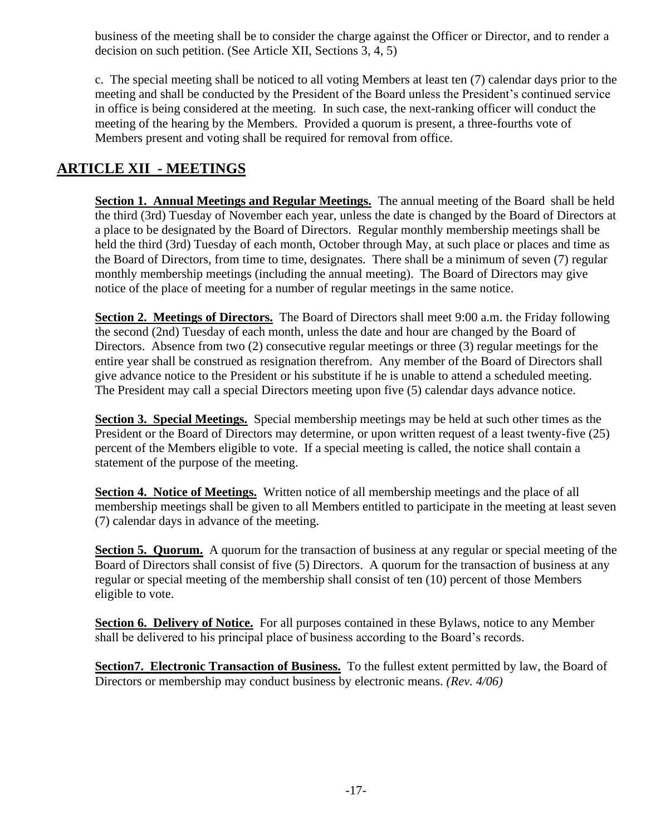business of the meeting shall be to consider the charge against the Officer or Director, and to render a decision on such petition. (See Article XII, Sections 3, 4, 5)

c. The special meeting shall be noticed to all voting Members at least ten (7) calendar days prior to the meeting and shall be conducted by the President of the Board unless the President's continued service in office is being considered at the meeting. In such case, the next-ranking officer will conduct the meeting of the hearing by the Members. Provided a quorum is present, a three-fourths vote of Members present and voting shall be required for removal from office.

# **ARTICLE XII - MEETINGS**

**Section 1. Annual Meetings and Regular Meetings.** The annual meeting of the Board shall be held the third (3rd) Tuesday of November each year, unless the date is changed by the Board of Directors at a place to be designated by the Board of Directors. Regular monthly membership meetings shall be held the third (3rd) Tuesday of each month, October through May, at such place or places and time as the Board of Directors, from time to time, designates. There shall be a minimum of seven (7) regular monthly membership meetings (including the annual meeting). The Board of Directors may give notice of the place of meeting for a number of regular meetings in the same notice.

**Section 2. Meetings of Directors.** The Board of Directors shall meet 9:00 a.m. the Friday following the second (2nd) Tuesday of each month, unless the date and hour are changed by the Board of Directors. Absence from two (2) consecutive regular meetings or three (3) regular meetings for the entire year shall be construed as resignation therefrom. Any member of the Board of Directors shall give advance notice to the President or his substitute if he is unable to attend a scheduled meeting. The President may call a special Directors meeting upon five (5) calendar days advance notice.

**Section 3. Special Meetings.** Special membership meetings may be held at such other times as the President or the Board of Directors may determine, or upon written request of a least twenty-five (25) percent of the Members eligible to vote. If a special meeting is called, the notice shall contain a statement of the purpose of the meeting.

**Section 4. Notice of Meetings.** Written notice of all membership meetings and the place of all membership meetings shall be given to all Members entitled to participate in the meeting at least seven (7) calendar days in advance of the meeting.

**Section 5. Quorum.** A quorum for the transaction of business at any regular or special meeting of the Board of Directors shall consist of five (5) Directors. A quorum for the transaction of business at any regular or special meeting of the membership shall consist of ten (10) percent of those Members eligible to vote.

**Section 6. Delivery of Notice.** For all purposes contained in these Bylaws, notice to any Member shall be delivered to his principal place of business according to the Board's records.

**Section7. Electronic Transaction of Business.** To the fullest extent permitted by law, the Board of Directors or membership may conduct business by electronic means. *(Rev. 4/06)*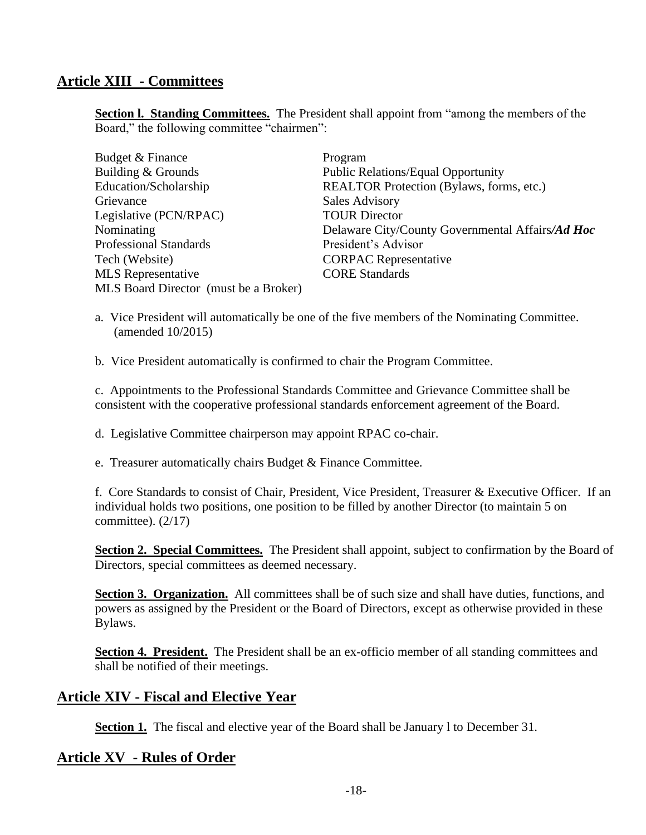# **Article XIII - Committees**

**Section I. Standing Committees.** The President shall appoint from "among the members of the Board," the following committee "chairmen":

| Budget & Finance                      | Program                                          |
|---------------------------------------|--------------------------------------------------|
| Building & Grounds                    | <b>Public Relations/Equal Opportunity</b>        |
| Education/Scholarship                 | REALTOR Protection (Bylaws, forms, etc.)         |
| Grievance                             | <b>Sales Advisory</b>                            |
| Legislative (PCN/RPAC)                | <b>TOUR Director</b>                             |
| Nominating                            | Delaware City/County Governmental Affairs/Ad Hoc |
| <b>Professional Standards</b>         | President's Advisor                              |
| Tech (Website)                        | <b>CORPAC</b> Representative                     |
| <b>MLS</b> Representative             | <b>CORE Standards</b>                            |
| MLS Board Director (must be a Broker) |                                                  |

a. Vice President will automatically be one of the five members of the Nominating Committee. (amended 10/2015)

b. Vice President automatically is confirmed to chair the Program Committee.

c. Appointments to the Professional Standards Committee and Grievance Committee shall be consistent with the cooperative professional standards enforcement agreement of the Board.

d. Legislative Committee chairperson may appoint RPAC co-chair.

e. Treasurer automatically chairs Budget & Finance Committee.

f. Core Standards to consist of Chair, President, Vice President, Treasurer & Executive Officer. If an individual holds two positions, one position to be filled by another Director (to maintain 5 on committee).  $(2/17)$ 

**Section 2. Special Committees.** The President shall appoint, subject to confirmation by the Board of Directors, special committees as deemed necessary.

Section 3. Organization. All committees shall be of such size and shall have duties, functions, and powers as assigned by the President or the Board of Directors, except as otherwise provided in these Bylaws.

**Section 4. President.** The President shall be an ex-officio member of all standing committees and shall be notified of their meetings.

### **Article XIV - Fiscal and Elective Year**

**Section 1.** The fiscal and elective year of the Board shall be January 1 to December 31.

### **Article XV - Rules of Order**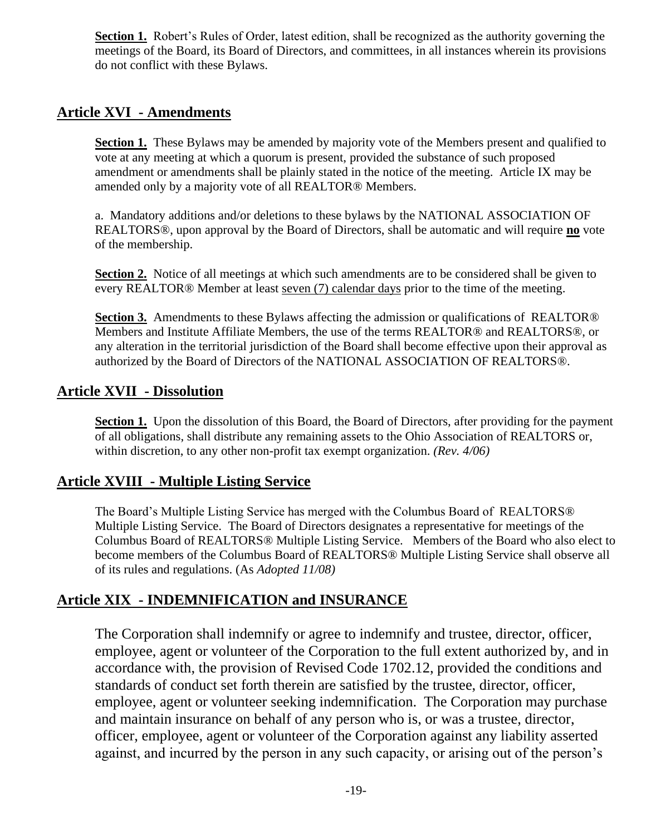**Section 1.** Robert's Rules of Order, latest edition, shall be recognized as the authority governing the meetings of the Board, its Board of Directors, and committees, in all instances wherein its provisions do not conflict with these Bylaws.

# **Article XVI - Amendments**

**Section 1.** These Bylaws may be amended by majority vote of the Members present and qualified to vote at any meeting at which a quorum is present, provided the substance of such proposed amendment or amendments shall be plainly stated in the notice of the meeting. Article IX may be amended only by a majority vote of all REALTOR® Members.

a. Mandatory additions and/or deletions to these bylaws by the NATIONAL ASSOCIATION OF REALTORS®, upon approval by the Board of Directors, shall be automatic and will require **no** vote of the membership.

Section 2. Notice of all meetings at which such amendments are to be considered shall be given to every REALTOR® Member at least seven (7) calendar days prior to the time of the meeting.

**Section 3.** Amendments to these Bylaws affecting the admission or qualifications of REALTOR® Members and Institute Affiliate Members, the use of the terms REALTOR® and REALTORS®, or any alteration in the territorial jurisdiction of the Board shall become effective upon their approval as authorized by the Board of Directors of the NATIONAL ASSOCIATION OF REALTORS®.

# **Article XVII - Dissolution**

**Section 1.** Upon the dissolution of this Board, the Board of Directors, after providing for the payment of all obligations, shall distribute any remaining assets to the Ohio Association of REALTORS or, within discretion, to any other non-profit tax exempt organization. *(Rev. 4/06)*

# **Article XVIII - Multiple Listing Service**

The Board's Multiple Listing Service has merged with the Columbus Board of REALTORS® Multiple Listing Service. The Board of Directors designates a representative for meetings of the Columbus Board of REALTORS® Multiple Listing Service. Members of the Board who also elect to become members of the Columbus Board of REALTORS® Multiple Listing Service shall observe all of its rules and regulations. (As *Adopted 11/08)*

# **Article XIX - INDEMNIFICATION and INSURANCE**

The Corporation shall indemnify or agree to indemnify and trustee, director, officer, employee, agent or volunteer of the Corporation to the full extent authorized by, and in accordance with, the provision of Revised Code 1702.12, provided the conditions and standards of conduct set forth therein are satisfied by the trustee, director, officer, employee, agent or volunteer seeking indemnification. The Corporation may purchase and maintain insurance on behalf of any person who is, or was a trustee, director, officer, employee, agent or volunteer of the Corporation against any liability asserted against, and incurred by the person in any such capacity, or arising out of the person's